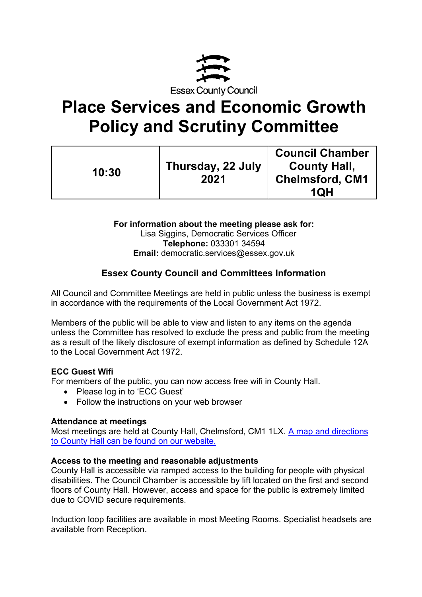

# **Place Services and Economic Growth Policy and Scrutiny Committee**

| 10:30 | Thursday, 22 July<br>2021 | <b>Council Chamber</b><br><b>County Hall,</b><br><b>Chelmsford, CM1</b><br><b>1QH</b> |
|-------|---------------------------|---------------------------------------------------------------------------------------|
|-------|---------------------------|---------------------------------------------------------------------------------------|

**For information about the meeting please ask for:**  Lisa Siggins, Democratic Services Officer **Telephone:** 033301 34594 **Email:** democratic.services@essex.gov.uk

# **Essex County Council and Committees Information**

All Council and Committee Meetings are held in public unless the business is exempt in accordance with the requirements of the Local Government Act 1972.

Members of the public will be able to view and listen to any items on the agenda unless the Committee has resolved to exclude the press and public from the meeting as a result of the likely disclosure of exempt information as defined by Schedule 12A to the Local Government Act 1972.

# **ECC Guest Wifi**

For members of the public, you can now access free wifi in County Hall.

- Please log in to 'ECC Guest'
- Follow the instructions on your web browser

#### **Attendance at meetings**

Most meetings are held at County Hall, Chelmsford, CM1 1LX. [A map and directions](https://www.essex.gov.uk/visit-us)  [to County Hall can be found on our website.](https://www.essex.gov.uk/visit-us)

#### **Access to the meeting and reasonable adjustments**

County Hall is accessible via ramped access to the building for people with physical disabilities. The Council Chamber is accessible by lift located on the first and second floors of County Hall. However, access and space for the public is extremely limited due to COVID secure requirements.

Induction loop facilities are available in most Meeting Rooms. Specialist headsets are available from Reception.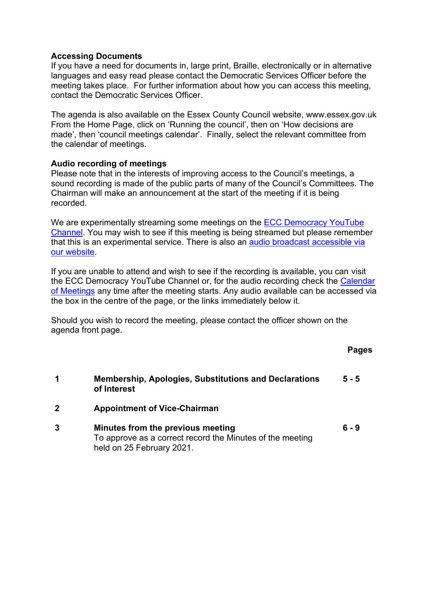#### **Accessing Documents**

If you have a need for documents in, large print, Braille, electronically or in alternative languages and easy read please contact the Democratic Services Officer before the meeting takes place. For further information about how you can access this meeting, contact the Democratic Services Officer.

The agenda is also available on the Essex County Council website, www.essex.gov.uk From the Home Page, click on 'Running the council', then on 'How decisions are made', then 'council meetings calendar'. Finally, select the relevant committee from the calendar of meetings.

#### **Audio recording of meetings**

Please note that in the interests of improving access to the Council's meetings, a sound recording is made of the public parts of many of the Council's Committees. The Chairman will make an announcement at the start of the meeting if it is being recorded.

We are experimentally streaming some meetings on the ECC Democracy YouTube [Channel.](https://eur02.safelinks.protection.outlook.com/?url=https%3A%2F%2Fwww.youtube.com%2Fchannel%2FUCOOP9vKq82ogpyG1gtCnyHQ&data=04%7C01%7C%7Cafdf498032bb42bc576a08d91924b56e%7Ca8b4324f155c4215a0f17ed8cc9a992f%7C0%7C0%7C637568467711384149%7CUnknown%7CTWFpbGZsb3d8eyJWIjoiMC4wLjAwMDAiLCJQIjoiV2luMzIiLCJBTiI6Ik1haWwiLCJXVCI6Mn0%3D%7C1000&sdata=FgEVbcbF%2B%2BFaK4TM2n9gtpI%2FxpckuP2MVd7WhX7bG6A%3D&reserved=0) You may wish to see if this meeting is being streamed but please remember that this is an experimental service. There is also an [audio broadcast accessible via](https://cmis.essex.gov.uk/essexcmis5/CalendarofMeetings.aspx)  [our website.](https://cmis.essex.gov.uk/essexcmis5/CalendarofMeetings.aspx)

If you are unable to attend and wish to see if the recording is available, you can visit the ECC Democracy YouTube Channel or, for the audio recording check the [Calendar](https://cmis.essex.gov.uk/essexcmis5/CalendarofMeetings.aspx)  [of Meetings](https://cmis.essex.gov.uk/essexcmis5/CalendarofMeetings.aspx) any time after the meeting starts. Any audio available can be accessed via the box in the centre of the page, or the links immediately below it.

Should you wish to record the meeting, please contact the officer shown on the agenda front page.

**Pages** 

- **1 Membership, Apologies, Substitutions and Declarations of Interest 5 - 5**
- **2 Appointment of Vice-Chairman**
- **3 Minutes from the previous meeting** To approve as a correct record the Minutes of the meeting held on 25 February 2021. **6 - 9**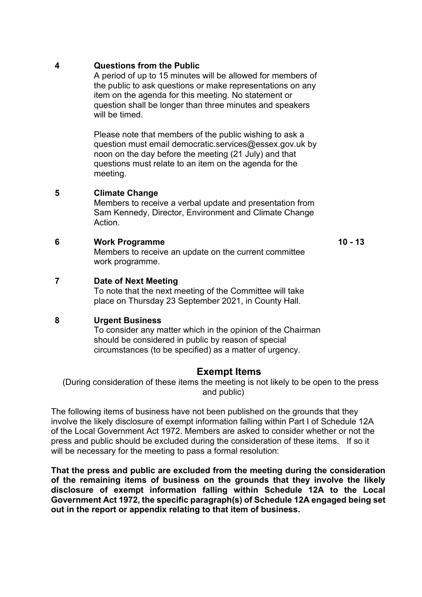#### **4 Questions from the Public**

A period of up to 15 minutes will be allowed for members of the public to ask questions or make representations on any item on the agenda for this meeting. No statement or question shall be longer than three minutes and speakers will be timed.

Please note that members of the public wishing to ask a question must email democratic.services@essex.gov.uk by noon on the day before the meeting (21 July) and that questions must relate to an item on the agenda for the meeting.

## **5 Climate Change**

Members to receive a verbal update and presentation from Sam Kennedy, Director, Environment and Climate Change **Action** 

#### **6 Work Programme**

Members to receive an update on the current committee work programme.

**10 - 13**

## **7 Date of Next Meeting**

To note that the next meeting of the Committee will take place on Thursday 23 September 2021, in County Hall.

#### **8 Urgent Business**

To consider any matter which in the opinion of the Chairman should be considered in public by reason of special circumstances (to be specified) as a matter of urgency.

# **Exempt Items**

(During consideration of these items the meeting is not likely to be open to the press and public)

The following items of business have not been published on the grounds that they involve the likely disclosure of exempt information falling within Part I of Schedule 12A of the Local Government Act 1972. Members are asked to consider whether or not the press and public should be excluded during the consideration of these items. If so it will be necessary for the meeting to pass a formal resolution:

**That the press and public are excluded from the meeting during the consideration of the remaining items of business on the grounds that they involve the likely disclosure of exempt information falling within Schedule 12A to the Local Government Act 1972, the specific paragraph(s) of Schedule 12A engaged being set out in the report or appendix relating to that item of business.**